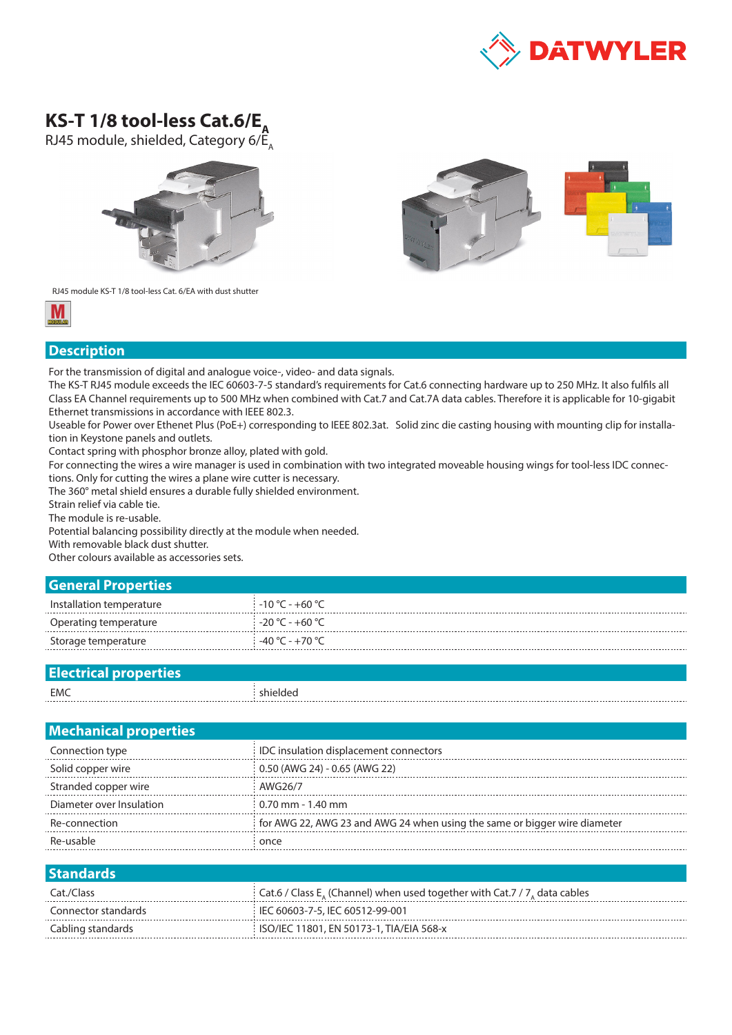

## KS-T 1/8 tool-less Cat.6/E<sub>a</sub>

RJ45 module, shielded, Category  $6/E_A$ 





RJ45 module KS-T 1/8 tool-less Cat. 6/EA with dust shutter



## **Description**

For the transmission of digital and analogue voice-, video- and data signals.

The KS-T RJ45 module exceeds the IEC 60603-7-5 standard's requirements for Cat.6 connecting hardware up to 250 MHz. It also fulfils all Class EA Channel requirements up to 500 MHz when combined with Cat.7 and Cat.7A data cables. Therefore it is applicable for 10-gigabit Ethernet transmissions in accordance with IEEE 802.3.

Useable for Power over Ethenet Plus (PoE+) corresponding to IEEE 802.3at. Solid zinc die casting housing with mounting clip for installation in Keystone panels and outlets.

Contact spring with phosphor bronze alloy, plated with gold.

For connecting the wires a wire manager is used in combination with two integrated moveable housing wings for tool-less IDC connections. Only for cutting the wires a plane wire cutter is necessary.

The 360° metal shield ensures a durable fully shielded environment.

Strain relief via cable tie.

The module is re-usable.

Potential balancing possibility directly at the module when needed.

With removable black dust shutter.

Other colours available as accessories sets.

## **General Properties**

| Installation temperature | $-10 °C - +60 °C$ |
|--------------------------|-------------------|
| Operating temperature    | $-20 °C - +60 °C$ |
| Storage temperature      | $-40 °C - +70 °C$ |

| $-$ |  |
|-----|--|
| EMC |  |
|     |  |

| <b>Mechanical properties</b> |                                                                           |
|------------------------------|---------------------------------------------------------------------------|
| Connection type              | IDC insulation displacement connectors                                    |
| Solid copper wire            | 0.50 (AWG 24) - 0.65 (AWG 22)                                             |
| Stranded copper wire         | AWG26/7                                                                   |
| Diameter over Insulation     | $0.70$ mm - 1.40 mm                                                       |
| Re-connection                | for AWG 22, AWG 23 and AWG 24 when using the same or bigger wire diameter |
| Re-usable                    | once                                                                      |
|                              |                                                                           |
| Standards <sup>1</sup>       | $\sim$                                                                    |

| Cat./Class          | Cat.6 / Class $E_{\alpha}$ (Channel) when used together with Cat.7 / 7, data cables |
|---------------------|-------------------------------------------------------------------------------------|
| Connector standards | IEC 60603-7-5, IEC 60512-99-001                                                     |
| Cabling standards   | ISO/IEC 11801, EN 50173-1, TIA/EIA 568-x                                            |